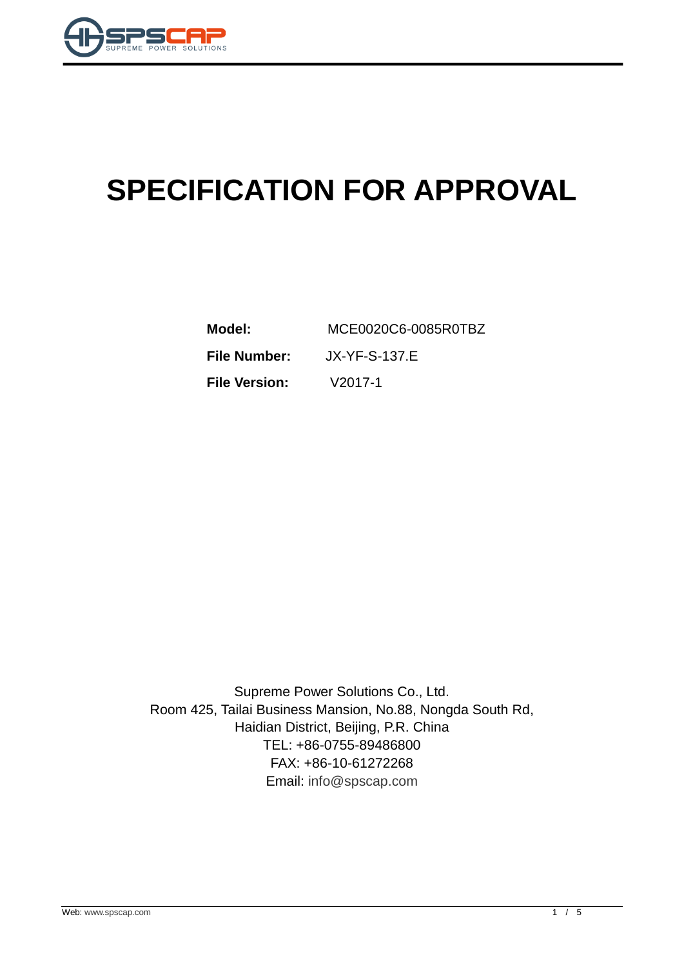

# **SPECIFICATION FOR APPROVAL**

| Model:               | MCE0020C6-0085R0TBZ |
|----------------------|---------------------|
| <b>File Number:</b>  | JX-YF-S-137.E       |
| <b>File Version:</b> | $V2017-1$           |

Supreme Power Solutions Co., Ltd. Room 425, Tailai Business Mansion, No.88, Nongda South Rd, Haidian District, Beijing, P.R. China TEL: +86-0755-89486800 FAX: +86-10-61272268 Email: [info@spscap.com](mailto:info@spscap.com)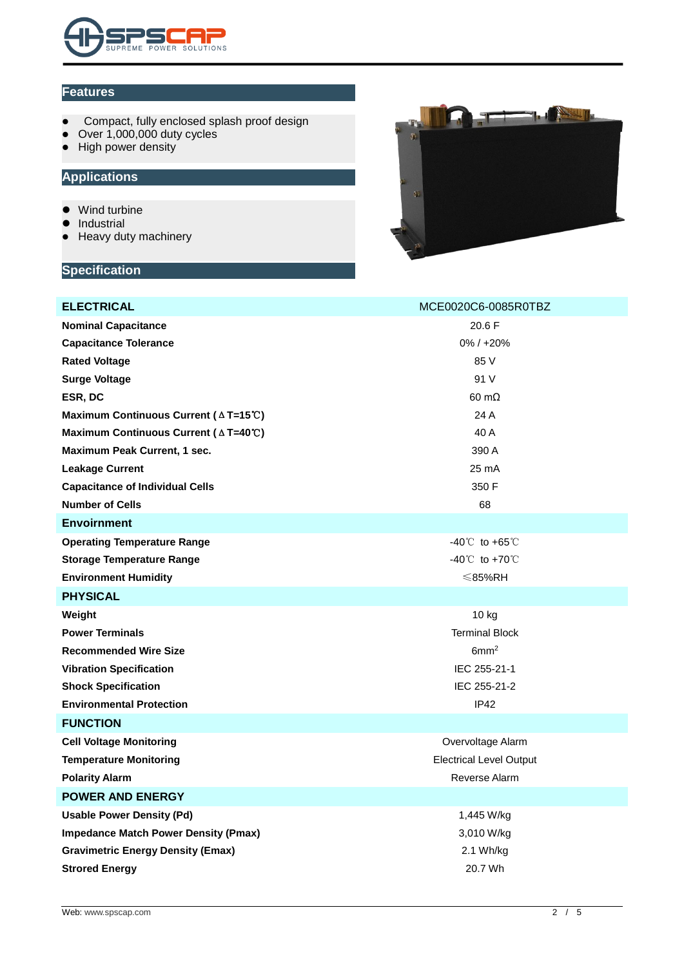

#### **Features**

- Compact, fully enclosed splash proof design
- Over 1,000,000 duty cycles
- High power density

## **Applications**

- Wind turbine
- Industrial
- Heavy duty machinery

#### **Specification**



| <b>ELECTRICAL</b>                                         | MCE0020C6-0085R0TBZ              |  |  |
|-----------------------------------------------------------|----------------------------------|--|--|
| <b>Nominal Capacitance</b>                                | 20.6 F                           |  |  |
| <b>Capacitance Tolerance</b>                              | $0\% / +20\%$                    |  |  |
| <b>Rated Voltage</b>                                      | 85 V                             |  |  |
| <b>Surge Voltage</b>                                      | 91 V                             |  |  |
| ESR, DC                                                   | $60 \text{ m}\Omega$             |  |  |
| Maximum Continuous Current ( $\triangle T=15^{\circ}$ C)  | 24 A                             |  |  |
| Maximum Continuous Current (△T=40℃)                       | 40 A                             |  |  |
| Maximum Peak Current, 1 sec.                              | 390 A                            |  |  |
| <b>Leakage Current</b>                                    | 25 mA                            |  |  |
| <b>Capacitance of Individual Cells</b>                    | 350 F                            |  |  |
| <b>Number of Cells</b>                                    | 68                               |  |  |
| <b>Envoirnment</b>                                        |                                  |  |  |
| <b>Operating Temperature Range</b>                        | $-40^{\circ}$ to $+65^{\circ}$ C |  |  |
| <b>Storage Temperature Range</b>                          | $-40^{\circ}$ to $+70^{\circ}$   |  |  |
| <b>Environment Humidity</b>                               | $≤$ 85%RH                        |  |  |
| <b>PHYSICAL</b>                                           |                                  |  |  |
| Weight                                                    | 10 kg                            |  |  |
| <b>Power Terminals</b>                                    | <b>Terminal Block</b>            |  |  |
| <b>Recommended Wire Size</b>                              | 6mm <sup>2</sup>                 |  |  |
| <b>Vibration Specification</b>                            | IEC 255-21-1                     |  |  |
| <b>Shock Specification</b>                                | IEC 255-21-2                     |  |  |
| <b>Environmental Protection</b>                           | IP42                             |  |  |
| <b>FUNCTION</b>                                           |                                  |  |  |
| <b>Cell Voltage Monitoring</b>                            | Overvoltage Alarm                |  |  |
| <b>Temperature Monitoring</b>                             | <b>Electrical Level Output</b>   |  |  |
| <b>Polarity Alarm</b>                                     | Reverse Alarm                    |  |  |
| <b>POWER AND ENERGY</b>                                   |                                  |  |  |
| <b>Usable Power Density (Pd)</b>                          | 1,445 W/kg                       |  |  |
| <b>Impedance Match Power Density (Pmax)</b><br>3,010 W/kg |                                  |  |  |
| <b>Gravimetric Energy Density (Emax)</b>                  | 2.1 Wh/kg                        |  |  |
| <b>Strored Energy</b>                                     | 20.7 Wh                          |  |  |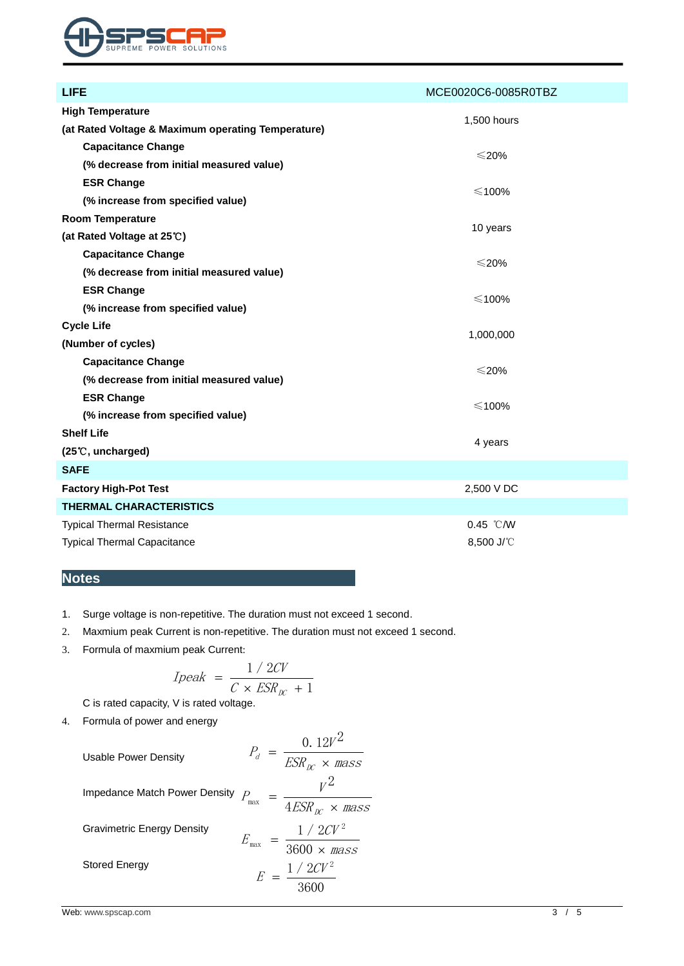

| <b>LIFE</b>                                        | MCE0020C6-0085R0TBZ |  |  |
|----------------------------------------------------|---------------------|--|--|
| <b>High Temperature</b>                            |                     |  |  |
| (at Rated Voltage & Maximum operating Temperature) | 1,500 hours         |  |  |
| <b>Capacitance Change</b>                          |                     |  |  |
| (% decrease from initial measured value)           | $\leqslant$ 20%     |  |  |
| <b>ESR Change</b>                                  | $\leq$ 100%         |  |  |
| (% increase from specified value)                  |                     |  |  |
| <b>Room Temperature</b>                            |                     |  |  |
| (at Rated Voltage at 25°C)                         | 10 years            |  |  |
| <b>Capacitance Change</b>                          | $\leqslant$ 20%     |  |  |
| (% decrease from initial measured value)           |                     |  |  |
| <b>ESR Change</b>                                  | $\leq$ 100%         |  |  |
| (% increase from specified value)                  |                     |  |  |
| <b>Cycle Life</b>                                  |                     |  |  |
| (Number of cycles)                                 | 1,000,000           |  |  |
| <b>Capacitance Change</b>                          |                     |  |  |
| (% decrease from initial measured value)           | $\leqslant$ 20%     |  |  |
| <b>ESR Change</b>                                  | $\leq$ 100%         |  |  |
| (% increase from specified value)                  |                     |  |  |
| <b>Shelf Life</b>                                  |                     |  |  |
| 4 years<br>(25°C, uncharged)                       |                     |  |  |
| <b>SAFE</b>                                        |                     |  |  |
| <b>Factory High-Pot Test</b>                       | 2,500 V DC          |  |  |
| <b>THERMAL CHARACTERISTICS</b>                     |                     |  |  |
| <b>Typical Thermal Resistance</b>                  | $0.45$ °C/W         |  |  |
| <b>Typical Thermal Capacitance</b>                 | 8,500 J/°C          |  |  |

## **Notes**

- 1. Surge voltage is non-repetitive. The duration must not exceed 1 second.
- 2. Maxmium peak Current is non-repetitive. The duration must not exceed 1 second.
- 3. Formula of maxmium peak Current:

$$
Ipeak = \frac{1/2CV}{C \times ESR_{\text{DC}} + 1}
$$

C is rated capacity, V is rated voltage.

4. Formula of power and energy

Usable Power Density

\n
$$
P_d = \frac{0.12V^2}{ESR_{\text{LC}} \times \text{mass}}
$$
\nImpedance Match Power Density

\n
$$
P_{\text{max}} = \frac{V^2}{4ESR_{\text{LC}} \times \text{mass}}
$$
\nGravimetric Energy Density

\n
$$
E_{\text{max}} = \frac{1/2CV^2}{3600 \times \text{mass}}
$$
\nStored Energy

\n
$$
E = \frac{1/2CV^2}{3600}
$$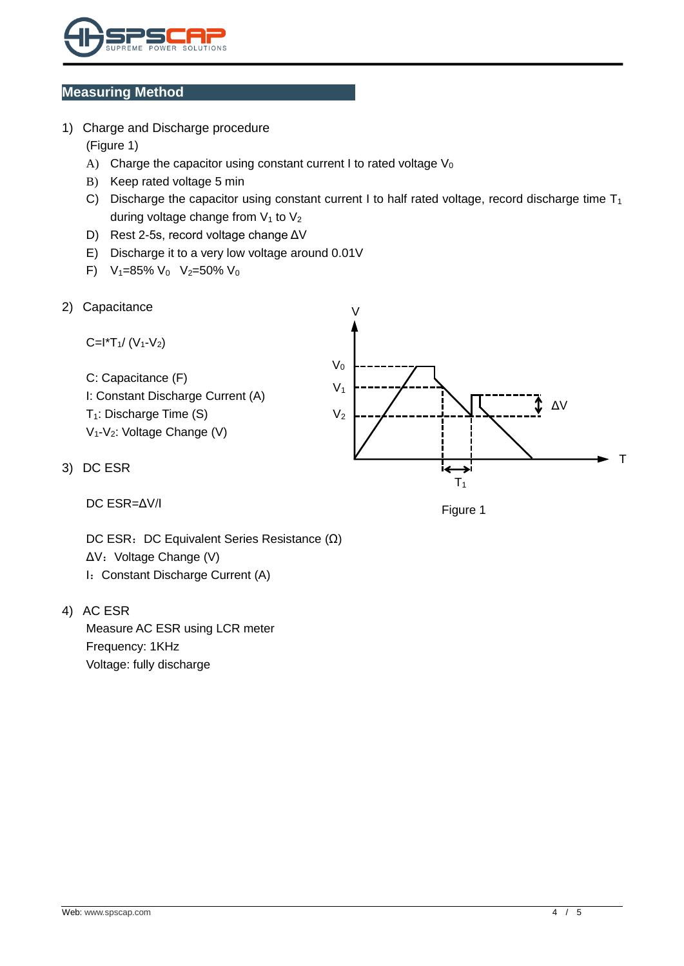

#### **Measuring Method**

- 1) Charge and Discharge procedure (Figure 1)
	- A) Charge the capacitor using constant current I to rated voltage  $V_0$
	- B) Keep rated voltage 5 min
	- C) Discharge the capacitor using constant current I to half rated voltage, record discharge time  $T_1$ during voltage change from  $V_1$  to  $V_2$
	- D) Rest 2-5s, record voltage change ΔV
	- E) Discharge it to a very low voltage around 0.01V
	- F)  $V_1=85\% V_0 V_2=50\% V_0$
- 2) Capacitance



DC ESR=ΔV/I

Figure 1

 $T<sub>1</sub>$ 

DC ESR: DC Equivalent Series Resistance (Ω) ΔV: Voltage Change (V) I: Constant Discharge Current (A)

4) AC ESR

Measure AC ESR using LCR meter Frequency: 1KHz Voltage: fully discharge